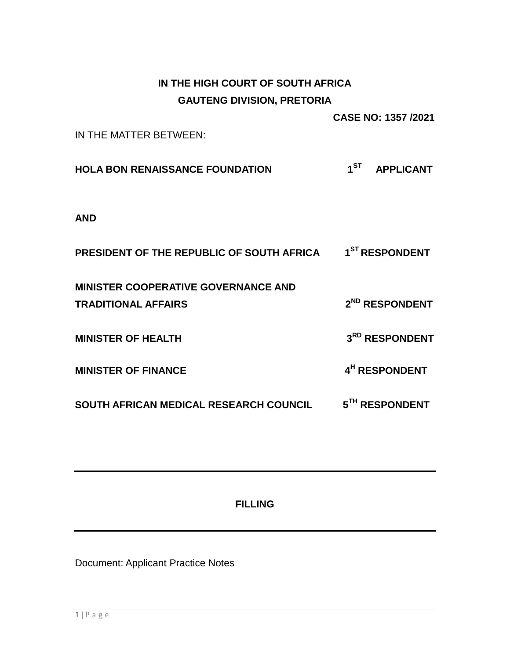# **IN THE HIGH COURT OF SOUTH AFRICA GAUTENG DIVISION, PRETORIA**

**CASE NO: 1357 /2021**

IN THE MATTER BETWEEN:

**HOLA BON RENAISSANCE FOUNDATION 1 ST APPLICANT**

**AND**

| <b>PRESIDENT OF THE REPUBLIC OF SOUTH AFRICA</b>                         | 1 <sup>ST</sup> RESPONDENT |
|--------------------------------------------------------------------------|----------------------------|
| <b>MINISTER COOPERATIVE GOVERNANCE AND</b><br><b>TRADITIONAL AFFAIRS</b> | 2 <sup>ND</sup> RESPONDENT |
| <b>MINISTER OF HEALTH</b>                                                | 3RD RESPONDENT             |
| <b>MINISTER OF FINANCE</b>                                               | 4 <sup>H</sup> RESPONDENT  |
| SOUTH AFRICAN MEDICAL RESEARCH COUNCIL                                   | 5 <sup>TH</sup> RESPONDENT |

**FILLING**

Document: Applicant Practice Notes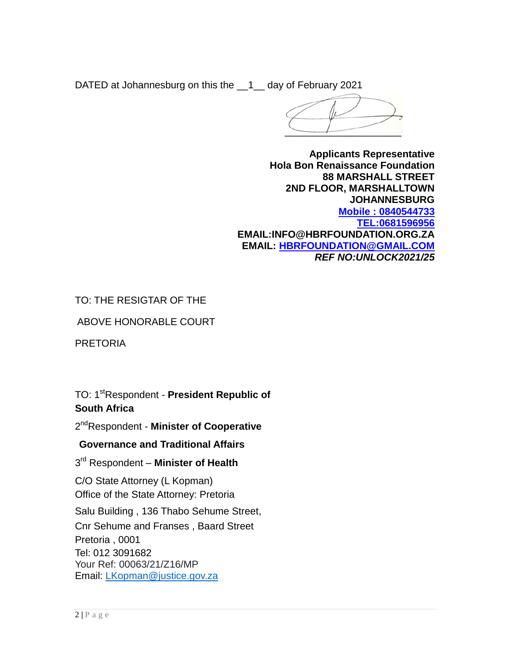DATED at Johannesburg on this the \_\_1\_\_ day of February 2021

 $\overline{\phantom{a}}$ 

**Applicants Representative Hola Bon Renaissance Foundation 88 MARSHALL STREET 2ND FLOOR, MARSHALLTOWN JOHANNESBURG Mobile : 0840544733 [TEL:0681596956](tel:0681596956) EMAIL:INFO@HBRFOUNDATION.ORG.ZA EMAIL: [HBRFOUNDATION@GMAIL.COM](mailto:HBRFOUNDATION@GMAIL.COM)** *REF NO:UNLOCK2021/25*

TO: THE RESIGTAR OF THE

ABOVE HONORABLE COURT

PRETORIA

TO: 1<sup>st</sup>Respondent - President Republic of **South Africa** 

2 ndRespondent - **Minister of Cooperative**

**Governance and Traditional Affairs** 

3 rd Respondent – **Minister of Health** 

C/O State Attorney (L Kopman) Office of the State Attorney: Pretoria

Salu Building , 136 Thabo Sehume Street,

Cnr Sehume and Franses , Baard Street Pretoria , 0001 Tel: 012 3091682 Your Ref: 00063/21/Z16/MP Email: [LKopman@justice.gov.za](mailto:LKopman@justice.gov.za)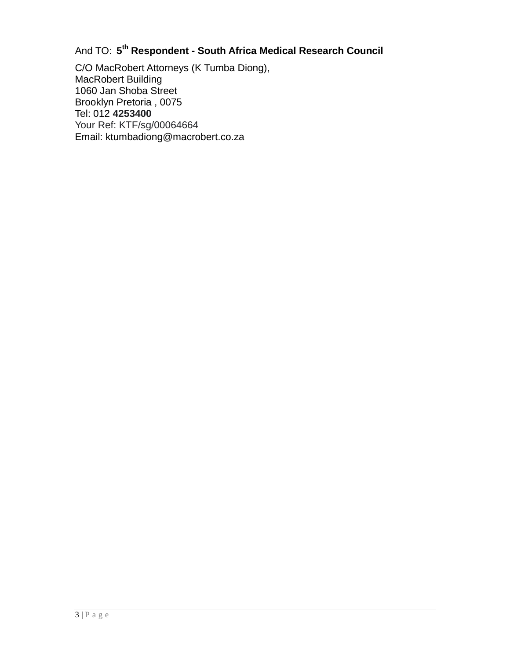### And TO: **5 th Respondent - South Africa Medical Research Council**

C/O MacRobert Attorneys (K Tumba Diong), MacRobert Building 1060 Jan Shoba Street Brooklyn Pretoria , 0075 Tel: 012 **4253400** Your Ref: KTF/sg/00064664 Email: ktumbadiong@macrobert.co.za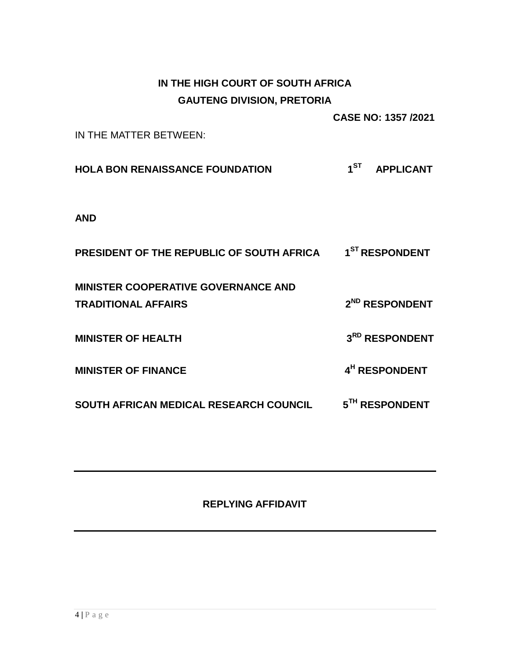# **IN THE HIGH COURT OF SOUTH AFRICA GAUTENG DIVISION, PRETORIA**

**CASE NO: 1357 /2021**

IN THE MATTER BETWEEN:

**HOLA BON RENAISSANCE FOUNDATION 1 ST APPLICANT**

**AND**

| <b>PRESIDENT OF THE REPUBLIC OF SOUTH AFRICA</b> | 1 <sup>ST</sup> RESPONDENT |
|--------------------------------------------------|----------------------------|
| <b>MINISTER COOPERATIVE GOVERNANCE AND</b>       |                            |
| <b>TRADITIONAL AFFAIRS</b>                       | 2 <sup>ND</sup> RESPONDENT |
| <b>MINISTER OF HEALTH</b>                        | 3RD RESPONDENT             |
| <b>MINISTER OF FINANCE</b>                       | 4 <sup>H</sup> RESPONDENT  |
| SOUTH AFRICAN MEDICAL RESEARCH COUNCIL           | 5TH RESPONDENT             |

# **REPLYING AFFIDAVIT**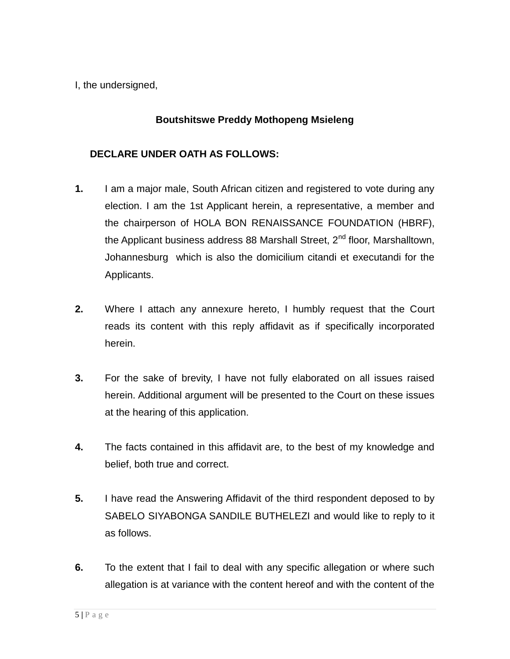I, the undersigned,

## **Boutshitswe Preddy Mothopeng Msieleng**

### **DECLARE UNDER OATH AS FOLLOWS:**

- **1.** I am a major male, South African citizen and registered to vote during any election. I am the 1st Applicant herein, a representative, a member and the chairperson of HOLA BON RENAISSANCE FOUNDATION (HBRF), the Applicant business address 88 Marshall Street,  $2<sup>nd</sup>$  floor, Marshalltown, Johannesburg which is also the domicilium citandi et executandi for the Applicants.
- **2.** Where I attach any annexure hereto, I humbly request that the Court reads its content with this reply affidavit as if specifically incorporated herein.
- **3.** For the sake of brevity, I have not fully elaborated on all issues raised herein. Additional argument will be presented to the Court on these issues at the hearing of this application.
- **4.** The facts contained in this affidavit are, to the best of my knowledge and belief, both true and correct.
- **5.** I have read the Answering Affidavit of the third respondent deposed to by SABELO SIYABONGA SANDILE BUTHELEZI and would like to reply to it as follows.
- **6.** To the extent that I fail to deal with any specific allegation or where such allegation is at variance with the content hereof and with the content of the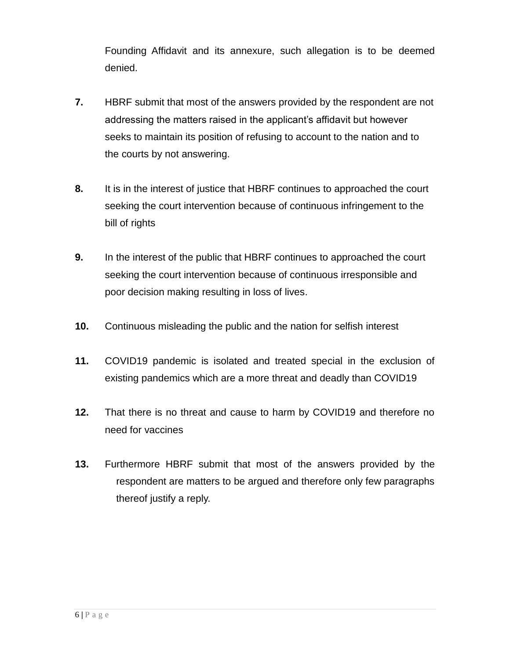Founding Affidavit and its annexure, such allegation is to be deemed denied.

- **7.** HBRF submit that most of the answers provided by the respondent are not addressing the matters raised in the applicant's affidavit but however seeks to maintain its position of refusing to account to the nation and to the courts by not answering.
- **8.** It is in the interest of justice that HBRF continues to approached the court seeking the court intervention because of continuous infringement to the bill of rights
- **9.** In the interest of the public that HBRF continues to approached the court seeking the court intervention because of continuous irresponsible and poor decision making resulting in loss of lives.
- **10.** Continuous misleading the public and the nation for selfish interest
- **11.** COVID19 pandemic is isolated and treated special in the exclusion of existing pandemics which are a more threat and deadly than COVID19
- **12.** That there is no threat and cause to harm by COVID19 and therefore no need for vaccines
- **13.** Furthermore HBRF submit that most of the answers provided by the respondent are matters to be argued and therefore only few paragraphs thereof justify a reply.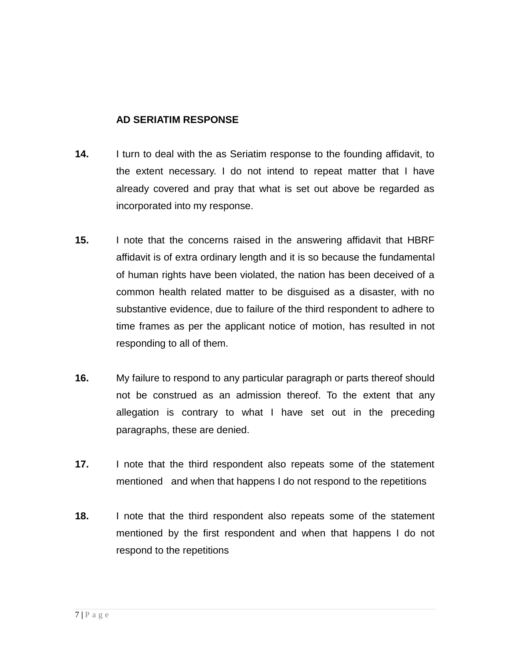### **AD SERIATIM RESPONSE**

- **14.** I turn to deal with the as Seriatim response to the founding affidavit, to the extent necessary. I do not intend to repeat matter that I have already covered and pray that what is set out above be regarded as incorporated into my response.
- **15.** I note that the concerns raised in the answering affidavit that HBRF affidavit is of extra ordinary length and it is so because the fundamental of human rights have been violated, the nation has been deceived of a common health related matter to be disguised as a disaster, with no substantive evidence, due to failure of the third respondent to adhere to time frames as per the applicant notice of motion, has resulted in not responding to all of them.
- **16.** My failure to respond to any particular paragraph or parts thereof should not be construed as an admission thereof. To the extent that any allegation is contrary to what I have set out in the preceding paragraphs, these are denied.
- **17.** I note that the third respondent also repeats some of the statement mentioned and when that happens I do not respond to the repetitions
- **18.** I note that the third respondent also repeats some of the statement mentioned by the first respondent and when that happens I do not respond to the repetitions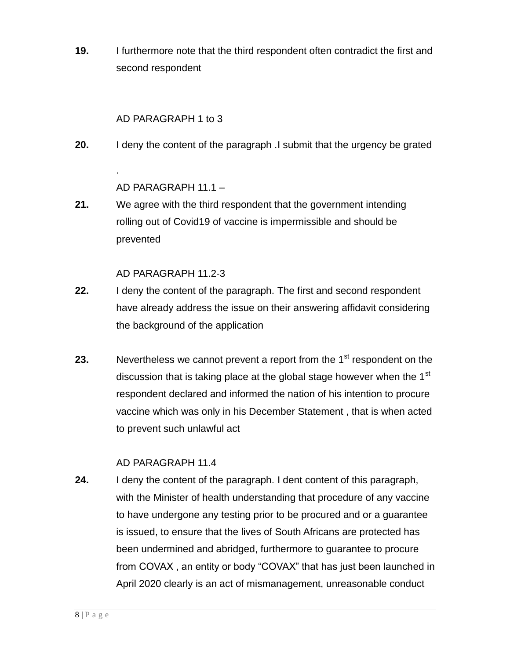**19.** I furthermore note that the third respondent often contradict the first and second respondent

### AD PARAGRAPH 1 to 3

**20.** I deny the content of the paragraph .I submit that the urgency be grated

### AD PARAGRAPH 11.1 –

.

**21.** We agree with the third respondent that the government intending rolling out of Covid19 of vaccine is impermissible and should be prevented

### AD PARAGRAPH 11.2-3

- **22.** I deny the content of the paragraph. The first and second respondent have already address the issue on their answering affidavit considering the background of the application
- **23.** Nevertheless we cannot prevent a report from the 1<sup>st</sup> respondent on the discussion that is taking place at the global stage however when the 1<sup>st</sup> respondent declared and informed the nation of his intention to procure vaccine which was only in his December Statement , that is when acted to prevent such unlawful act

### AD PARAGRAPH 11.4

**24.** I deny the content of the paragraph. I dent content of this paragraph, with the Minister of health understanding that procedure of any vaccine to have undergone any testing prior to be procured and or a guarantee is issued, to ensure that the lives of South Africans are protected has been undermined and abridged, furthermore to guarantee to procure from COVAX , an entity or body "COVAX" that has just been launched in April 2020 clearly is an act of mismanagement, unreasonable conduct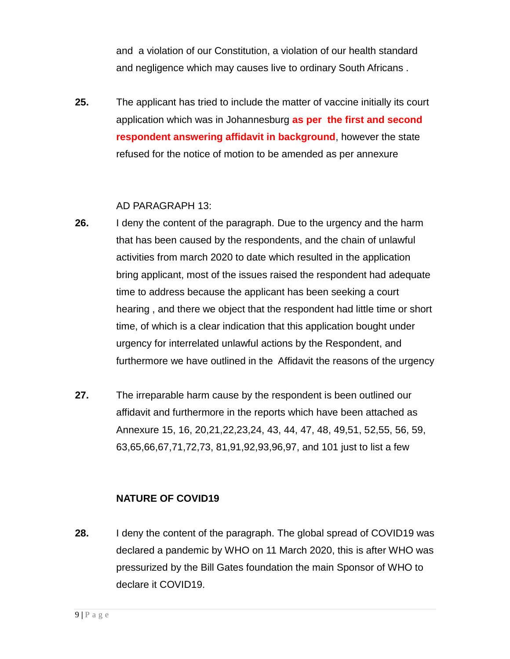and a violation of our Constitution, a violation of our health standard and negligence which may causes live to ordinary South Africans .

**25.** The applicant has tried to include the matter of vaccine initially its court application which was in Johannesburg **as per the first and second respondent answering affidavit in background**, however the state refused for the notice of motion to be amended as per annexure

#### AD PARAGRAPH 13:

- **26.** I deny the content of the paragraph. Due to the urgency and the harm that has been caused by the respondents, and the chain of unlawful activities from march 2020 to date which resulted in the application bring applicant, most of the issues raised the respondent had adequate time to address because the applicant has been seeking a court hearing , and there we object that the respondent had little time or short time, of which is a clear indication that this application bought under urgency for interrelated unlawful actions by the Respondent, and furthermore we have outlined in the Affidavit the reasons of the urgency
- **27.** The irreparable harm cause by the respondent is been outlined our affidavit and furthermore in the reports which have been attached as Annexure 15, 16, 20,21,22,23,24, 43, 44, 47, 48, 49,51, 52,55, 56, 59, 63,65,66,67,71,72,73, 81,91,92,93,96,97, and 101 just to list a few

### **NATURE OF COVID19**

**28.** I deny the content of the paragraph. The global spread of COVID19 was declared a pandemic by WHO on 11 March 2020, this is after WHO was pressurized by the Bill Gates foundation the main Sponsor of WHO to declare it COVID19.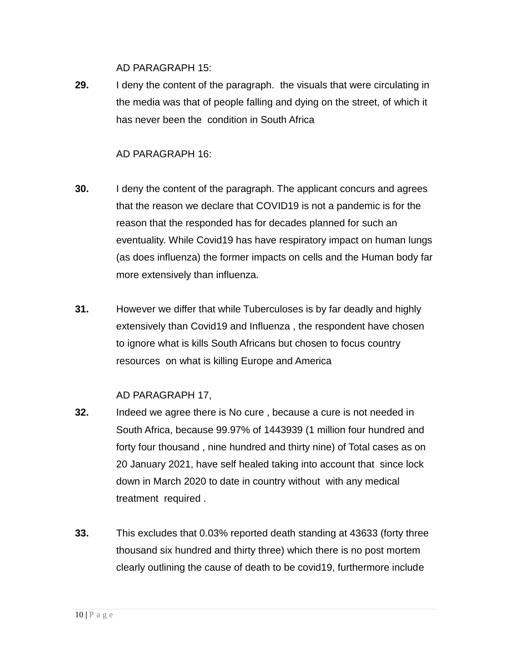AD PARAGRAPH 15:

**29.** I deny the content of the paragraph. the visuals that were circulating in the media was that of people falling and dying on the street, of which it has never been the condition in South Africa

### AD PARAGRAPH 16:

- **30.** I deny the content of the paragraph. The applicant concurs and agrees that the reason we declare that COVID19 is not a pandemic is for the reason that the responded has for decades planned for such an eventuality. While Covid19 has have respiratory impact on human lungs (as does influenza) the former impacts on cells and the Human body far more extensively than influenza.
- **31.** However we differ that while Tuberculoses is by far deadly and highly extensively than Covid19 and Influenza , the respondent have chosen to ignore what is kills South Africans but chosen to focus country resources on what is killing Europe and America

# AD PARAGRAPH 17,

- **32.** Indeed we agree there is No cure , because a cure is not needed in South Africa, because 99.97% of 1443939 (1 million four hundred and forty four thousand , nine hundred and thirty nine) of Total cases as on 20 January 2021, have self healed taking into account that since lock down in March 2020 to date in country without with any medical treatment required .
- **33.** This excludes that 0.03% reported death standing at 43633 (forty three thousand six hundred and thirty three) which there is no post mortem clearly outlining the cause of death to be covid19, furthermore include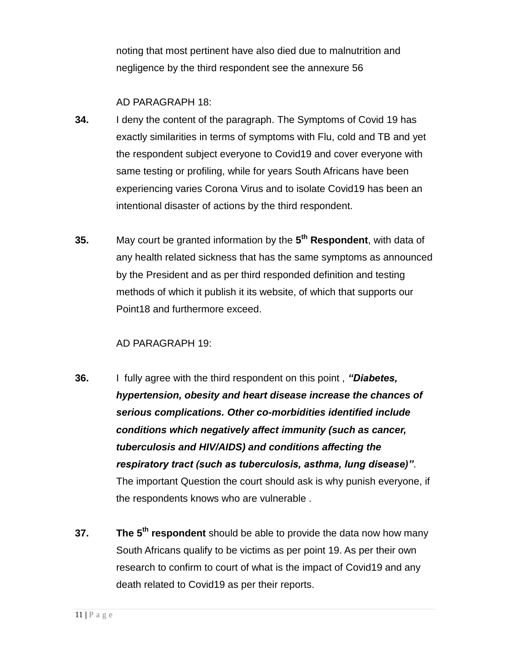noting that most pertinent have also died due to malnutrition and negligence by the third respondent see the annexure 56

### AD PARAGRAPH 18:

- **34.** I deny the content of the paragraph. The Symptoms of Covid 19 has exactly similarities in terms of symptoms with Flu, cold and TB and yet the respondent subject everyone to Covid19 and cover everyone with same testing or profiling, while for years South Africans have been experiencing varies Corona Virus and to isolate Covid19 has been an intentional disaster of actions by the third respondent.
- **35.** May court be granted information by the **5 th Respondent**, with data of any health related sickness that has the same symptoms as announced by the President and as per third responded definition and testing methods of which it publish it its website, of which that supports our Point18 and furthermore exceed.

### AD PARAGRAPH 19:

- **36.** I fully agree with the third respondent on this point , *"Diabetes, hypertension, obesity and heart disease increase the chances of serious complications. Other co-morbidities identified include conditions which negatively affect immunity (such as cancer, tuberculosis and HIV/AIDS) and conditions affecting the respiratory tract (such as tuberculosis, asthma, lung disease)"*. The important Question the court should ask is why punish everyone, if the respondents knows who are vulnerable .
- **37. The 5th respondent** should be able to provide the data now how many South Africans qualify to be victims as per point 19. As per their own research to confirm to court of what is the impact of Covid19 and any death related to Covid19 as per their reports.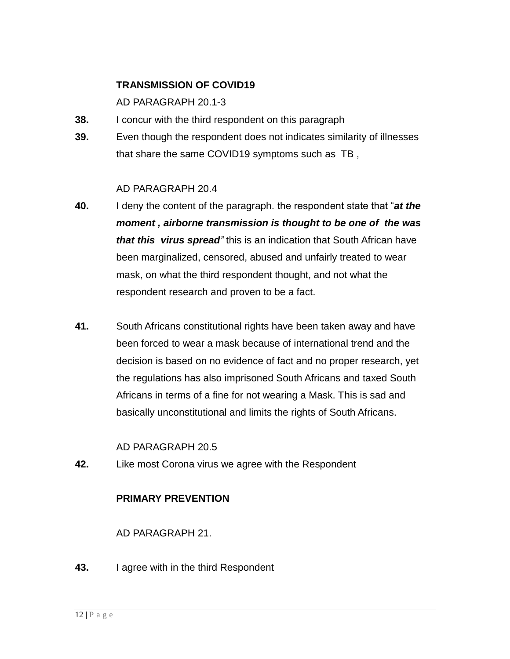#### **TRANSMISSION OF COVID19**

AD PARAGRAPH 20.1-3

- **38.** I concur with the third respondent on this paragraph
- **39.** Even though the respondent does not indicates similarity of illnesses that share the same COVID19 symptoms such as TB ,

#### AD PARAGRAPH 20.4

- **40.** I deny the content of the paragraph. the respondent state that "*at the moment , airborne transmission is thought to be one of the was that this virus spread"* this is an indication that South African have been marginalized, censored, abused and unfairly treated to wear mask, on what the third respondent thought, and not what the respondent research and proven to be a fact.
- **41.** South Africans constitutional rights have been taken away and have been forced to wear a mask because of international trend and the decision is based on no evidence of fact and no proper research, yet the regulations has also imprisoned South Africans and taxed South Africans in terms of a fine for not wearing a Mask. This is sad and basically unconstitutional and limits the rights of South Africans.

#### AD PARAGRAPH 20.5

**42.** Like most Corona virus we agree with the Respondent

### **PRIMARY PREVENTION**

### AD PARAGRAPH 21.

**43.** I agree with in the third Respondent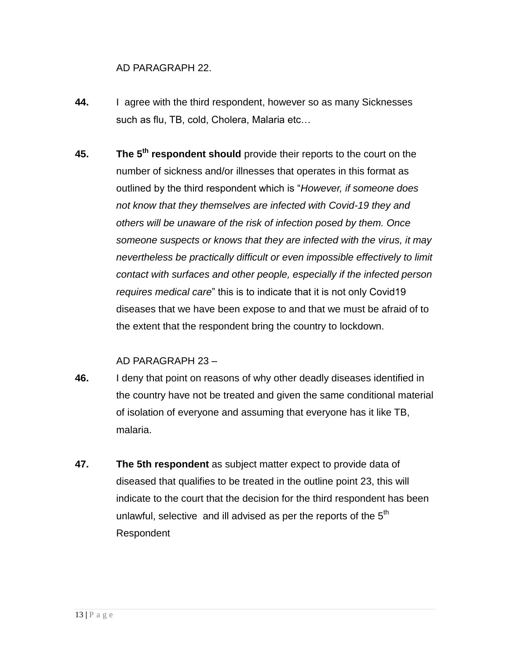### AD PARAGRAPH 22.

- **44.** I agree with the third respondent, however so as many Sicknesses such as flu, TB, cold, Cholera, Malaria etc…
- **45. The 5th respondent should** provide their reports to the court on the number of sickness and/or illnesses that operates in this format as outlined by the third respondent which is "*However, if someone does not know that they themselves are infected with Covid-19 they and others will be unaware of the risk of infection posed by them. Once someone suspects or knows that they are infected with the virus, it may nevertheless be practically difficult or even impossible effectively to limit contact with surfaces and other people, especially if the infected person requires medical care*" this is to indicate that it is not only Covid19 diseases that we have been expose to and that we must be afraid of to the extent that the respondent bring the country to lockdown.

#### AD PARAGRAPH 23 –

- **46.** I deny that point on reasons of why other deadly diseases identified in the country have not be treated and given the same conditional material of isolation of everyone and assuming that everyone has it like TB, malaria.
- **47. The 5th respondent** as subject matter expect to provide data of diseased that qualifies to be treated in the outline point 23, this will indicate to the court that the decision for the third respondent has been unlawful, selective and ill advised as per the reports of the  $5<sup>th</sup>$ Respondent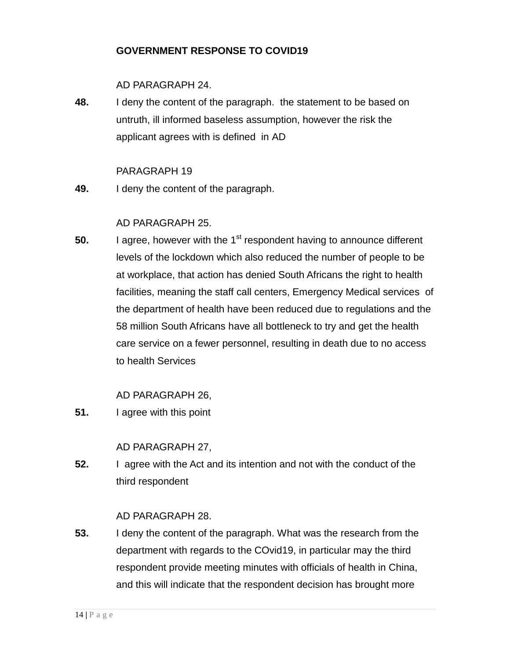### **GOVERNMENT RESPONSE TO COVID19**

### AD PARAGRAPH 24.

**48.** I deny the content of the paragraph. the statement to be based on untruth, ill informed baseless assumption, however the risk the applicant agrees with is defined in AD

### PARAGRAPH 19

**49.** I deny the content of the paragraph.

# AD PARAGRAPH 25.

**50.** I agree, however with the 1<sup>st</sup> respondent having to announce different levels of the lockdown which also reduced the number of people to be at workplace, that action has denied South Africans the right to health facilities, meaning the staff call centers, Emergency Medical services of the department of health have been reduced due to regulations and the 58 million South Africans have all bottleneck to try and get the health care service on a fewer personnel, resulting in death due to no access to health Services

AD PARAGRAPH 26,

**51.** I agree with this point

### AD PARAGRAPH 27,

**52.** I agree with the Act and its intention and not with the conduct of the third respondent

### AD PARAGRAPH 28.

**53.** I deny the content of the paragraph. What was the research from the department with regards to the COvid19, in particular may the third respondent provide meeting minutes with officials of health in China, and this will indicate that the respondent decision has brought more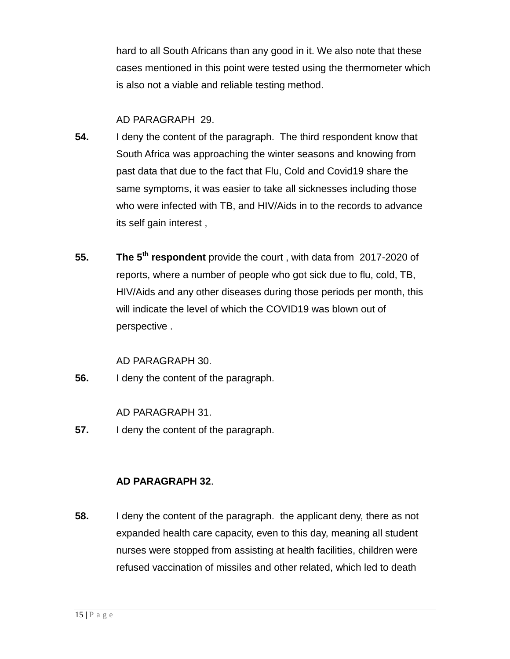hard to all South Africans than any good in it. We also note that these cases mentioned in this point were tested using the thermometer which is also not a viable and reliable testing method.

### AD PARAGRAPH 29.

- **54.** I deny the content of the paragraph. The third respondent know that South Africa was approaching the winter seasons and knowing from past data that due to the fact that Flu, Cold and Covid19 share the same symptoms, it was easier to take all sicknesses including those who were infected with TB, and HIV/Aids in to the records to advance its self gain interest ,
- **55. The 5th respondent** provide the court , with data from 2017-2020 of reports, where a number of people who got sick due to flu, cold, TB, HIV/Aids and any other diseases during those periods per month, this will indicate the level of which the COVID19 was blown out of perspective .

AD PARAGRAPH 30.

**56.** I deny the content of the paragraph.

AD PARAGRAPH 31.

**57.** I deny the content of the paragraph.

### **AD PARAGRAPH 32**.

**58.** I deny the content of the paragraph. the applicant deny, there as not expanded health care capacity, even to this day, meaning all student nurses were stopped from assisting at health facilities, children were refused vaccination of missiles and other related, which led to death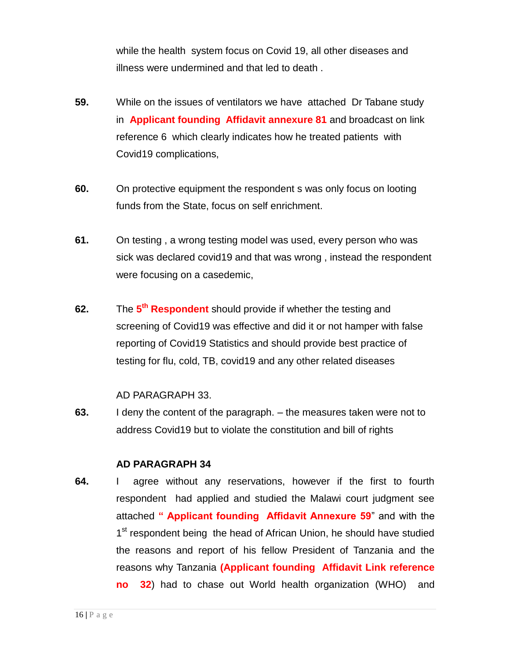while the health system focus on Covid 19, all other diseases and illness were undermined and that led to death .

- **59.** While on the issues of ventilators we have attached Dr Tabane study in **Applicant founding Affidavit annexure 81** and broadcast on link reference 6 which clearly indicates how he treated patients with Covid19 complications,
- **60.** On protective equipment the respondent s was only focus on looting funds from the State, focus on self enrichment.
- **61.** On testing , a wrong testing model was used, every person who was sick was declared covid19 and that was wrong , instead the respondent were focusing on a casedemic,
- **62.** The  $5^{\text{th}}$  **Respondent** should provide if whether the testing and screening of Covid19 was effective and did it or not hamper with false reporting of Covid19 Statistics and should provide best practice of testing for flu, cold, TB, covid19 and any other related diseases

#### AD PARAGRAPH 33.

**63.** I deny the content of the paragraph. – the measures taken were not to address Covid19 but to violate the constitution and bill of rights

#### **AD PARAGRAPH 34**

**64.** I agree without any reservations, however if the first to fourth respondent had applied and studied the Malawi court judgment see attached **" Applicant founding Affidavit Annexure 59**" and with the 1<sup>st</sup> respondent being the head of African Union, he should have studied the reasons and report of his fellow President of Tanzania and the reasons why Tanzania **(Applicant founding Affidavit Link reference no 32**) had to chase out World health organization (WHO) and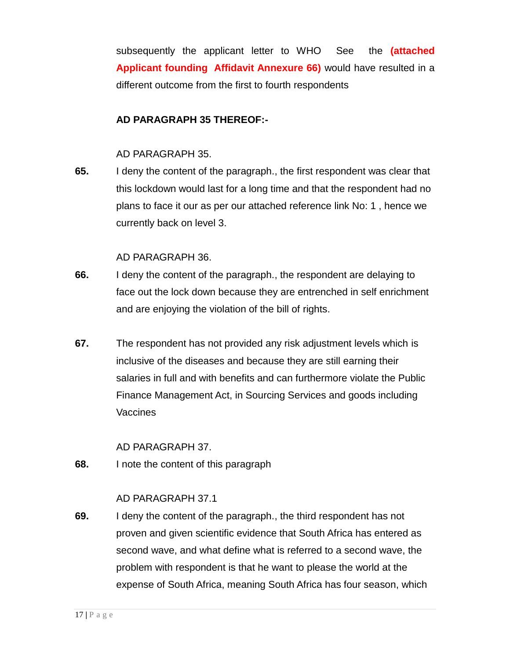subsequently the applicant letter to WHO See the **(attached Applicant founding Affidavit Annexure 66)** would have resulted in a different outcome from the first to fourth respondents

### **AD PARAGRAPH 35 THEREOF:-**

#### AD PARAGRAPH 35.

**65.** I deny the content of the paragraph., the first respondent was clear that this lockdown would last for a long time and that the respondent had no plans to face it our as per our attached reference link No: 1 , hence we currently back on level 3.

#### AD PARAGRAPH 36.

- **66.** I deny the content of the paragraph., the respondent are delaying to face out the lock down because they are entrenched in self enrichment and are enjoying the violation of the bill of rights.
- **67.** The respondent has not provided any risk adjustment levels which is inclusive of the diseases and because they are still earning their salaries in full and with benefits and can furthermore violate the Public Finance Management Act, in Sourcing Services and goods including **Vaccines**

#### AD PARAGRAPH 37.

**68.** I note the content of this paragraph

#### AD PARAGRAPH 37.1

**69.** I deny the content of the paragraph., the third respondent has not proven and given scientific evidence that South Africa has entered as second wave, and what define what is referred to a second wave, the problem with respondent is that he want to please the world at the expense of South Africa, meaning South Africa has four season, which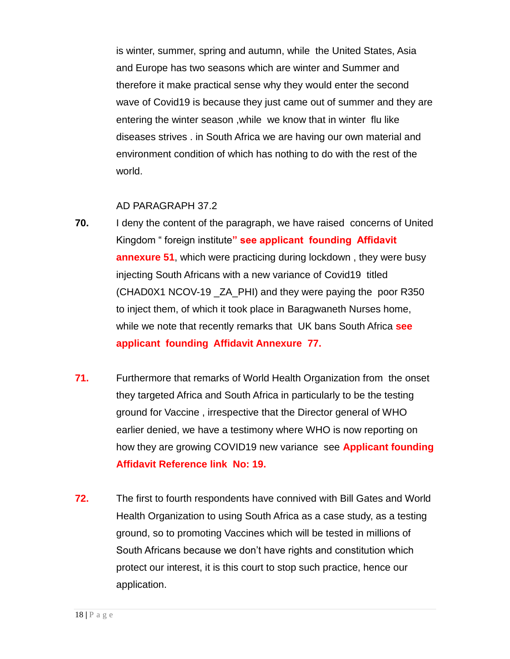is winter, summer, spring and autumn, while the United States, Asia and Europe has two seasons which are winter and Summer and therefore it make practical sense why they would enter the second wave of Covid19 is because they just came out of summer and they are entering the winter season ,while we know that in winter flu like diseases strives . in South Africa we are having our own material and environment condition of which has nothing to do with the rest of the world.

#### AD PARAGRAPH 37.2

- **70.** I deny the content of the paragraph, we have raised concerns of United Kingdom " foreign institute**" see applicant founding Affidavit annexure 51**, which were practicing during lockdown , they were busy injecting South Africans with a new variance of Covid19 titled (CHAD0X1 NCOV-19 \_ZA\_PHI) and they were paying the poor R350 to inject them, of which it took place in Baragwaneth Nurses home, while we note that recently remarks that UK bans South Africa **see applicant founding Affidavit Annexure 77.**
- **71.** Furthermore that remarks of World Health Organization from the onset they targeted Africa and South Africa in particularly to be the testing ground for Vaccine , irrespective that the Director general of WHO earlier denied, we have a testimony where WHO is now reporting on how they are growing COVID19 new variance see **Applicant founding Affidavit Reference link No: 19.**
- **72.** The first to fourth respondents have connived with Bill Gates and World Health Organization to using South Africa as a case study, as a testing ground, so to promoting Vaccines which will be tested in millions of South Africans because we don't have rights and constitution which protect our interest, it is this court to stop such practice, hence our application.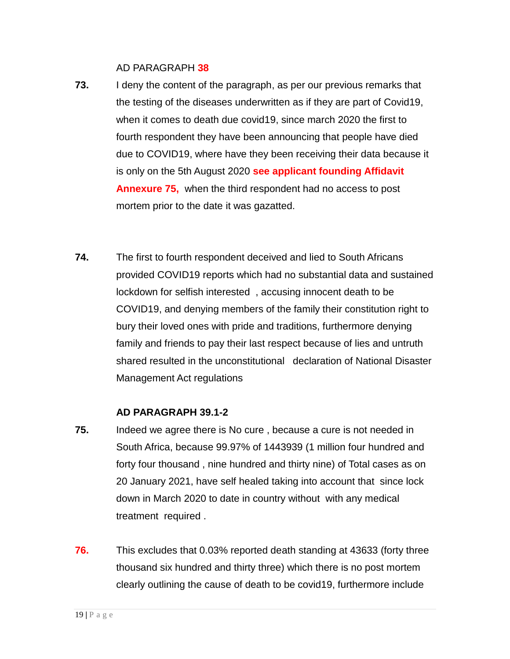AD PARAGRAPH **38**

- **73.** I deny the content of the paragraph, as per our previous remarks that the testing of the diseases underwritten as if they are part of Covid19, when it comes to death due covid19, since march 2020 the first to fourth respondent they have been announcing that people have died due to COVID19, where have they been receiving their data because it is only on the 5th August 2020 **see applicant founding Affidavit Annexure 75,** when the third respondent had no access to post mortem prior to the date it was gazatted.
- **74.** The first to fourth respondent deceived and lied to South Africans provided COVID19 reports which had no substantial data and sustained lockdown for selfish interested , accusing innocent death to be COVID19, and denying members of the family their constitution right to bury their loved ones with pride and traditions, furthermore denying family and friends to pay their last respect because of lies and untruth shared resulted in the unconstitutional declaration of National Disaster Management Act regulations

#### **AD PARAGRAPH 39.1-2**

- **75.** Indeed we agree there is No cure , because a cure is not needed in South Africa, because 99.97% of 1443939 (1 million four hundred and forty four thousand , nine hundred and thirty nine) of Total cases as on 20 January 2021, have self healed taking into account that since lock down in March 2020 to date in country without with any medical treatment required .
- **76.** This excludes that 0.03% reported death standing at 43633 (forty three thousand six hundred and thirty three) which there is no post mortem clearly outlining the cause of death to be covid19, furthermore include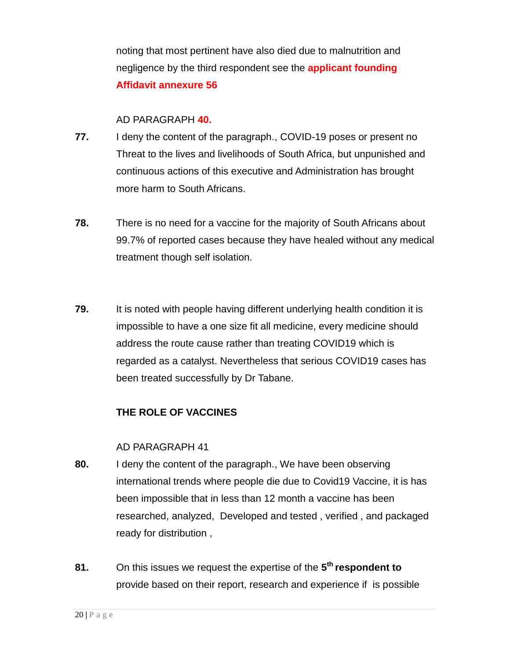noting that most pertinent have also died due to malnutrition and negligence by the third respondent see the **applicant founding Affidavit annexure 56**

#### AD PARAGRAPH **40.**

- **77.** I deny the content of the paragraph., COVID-19 poses or present no Threat to the lives and livelihoods of South Africa, but unpunished and continuous actions of this executive and Administration has brought more harm to South Africans.
- **78.** There is no need for a vaccine for the majority of South Africans about 99.7% of reported cases because they have healed without any medical treatment though self isolation.
- **79.** It is noted with people having different underlying health condition it is impossible to have a one size fit all medicine, every medicine should address the route cause rather than treating COVID19 which is regarded as a catalyst. Nevertheless that serious COVID19 cases has been treated successfully by Dr Tabane.

### **THE ROLE OF VACCINES**

#### AD PARAGRAPH 41

- **80.** I deny the content of the paragraph., We have been observing international trends where people die due to Covid19 Vaccine, it is has been impossible that in less than 12 month a vaccine has been researched, analyzed, Developed and tested , verified , and packaged ready for distribution ,
- **81.** On this issues we request the expertise of the **5 th respondent to** provide based on their report, research and experience if is possible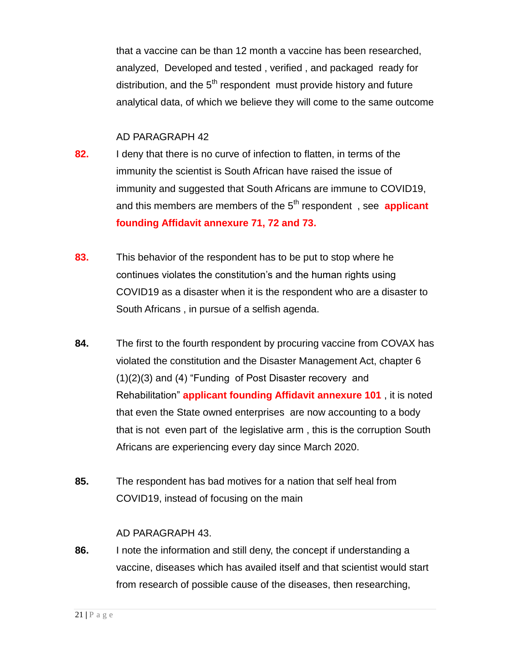that a vaccine can be than 12 month a vaccine has been researched, analyzed, Developed and tested , verified , and packaged ready for distribution, and the  $5<sup>th</sup>$  respondent must provide history and future analytical data, of which we believe they will come to the same outcome

#### AD PARAGRAPH 42

- **82.** I deny that there is no curve of infection to flatten, in terms of the immunity the scientist is South African have raised the issue of immunity and suggested that South Africans are immune to COVID19, and this members are members of the 5<sup>th</sup> respondent, see **applicant founding Affidavit annexure 71, 72 and 73.**
- **83.** This behavior of the respondent has to be put to stop where he continues violates the constitution's and the human rights using COVID19 as a disaster when it is the respondent who are a disaster to South Africans , in pursue of a selfish agenda.
- **84.** The first to the fourth respondent by procuring vaccine from COVAX has violated the constitution and the Disaster Management Act, chapter 6 (1)(2)(3) and (4) "Funding of Post Disaster recovery and Rehabilitation" **applicant founding Affidavit annexure 101** , it is noted that even the State owned enterprises are now accounting to a body that is not even part of the legislative arm , this is the corruption South Africans are experiencing every day since March 2020.
- **85.** The respondent has bad motives for a nation that self heal from COVID19, instead of focusing on the main

### AD PARAGRAPH 43.

**86.** I note the information and still deny, the concept if understanding a vaccine, diseases which has availed itself and that scientist would start from research of possible cause of the diseases, then researching,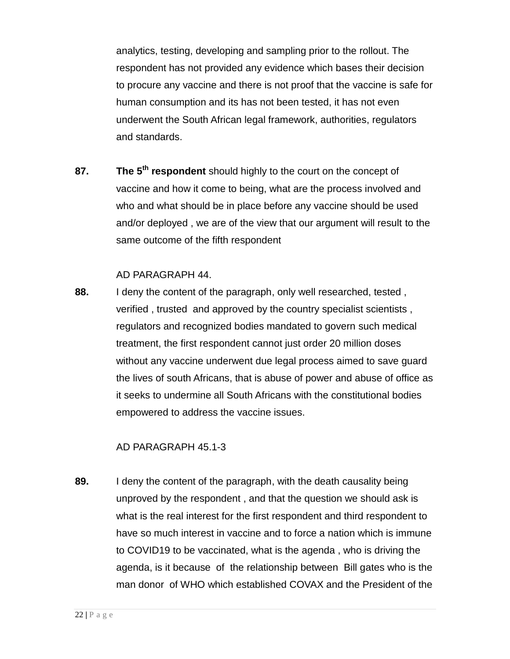analytics, testing, developing and sampling prior to the rollout. The respondent has not provided any evidence which bases their decision to procure any vaccine and there is not proof that the vaccine is safe for human consumption and its has not been tested, it has not even underwent the South African legal framework, authorities, regulators and standards.

**87. The 5th respondent** should highly to the court on the concept of vaccine and how it come to being, what are the process involved and who and what should be in place before any vaccine should be used and/or deployed , we are of the view that our argument will result to the same outcome of the fifth respondent

#### AD PARAGRAPH 44.

**88.** I deny the content of the paragraph, only well researched, tested , verified , trusted and approved by the country specialist scientists , regulators and recognized bodies mandated to govern such medical treatment, the first respondent cannot just order 20 million doses without any vaccine underwent due legal process aimed to save guard the lives of south Africans, that is abuse of power and abuse of office as it seeks to undermine all South Africans with the constitutional bodies empowered to address the vaccine issues.

#### AD PARAGRAPH 45.1-3

**89.** I deny the content of the paragraph, with the death causality being unproved by the respondent , and that the question we should ask is what is the real interest for the first respondent and third respondent to have so much interest in vaccine and to force a nation which is immune to COVID19 to be vaccinated, what is the agenda , who is driving the agenda, is it because of the relationship between Bill gates who is the man donor of WHO which established COVAX and the President of the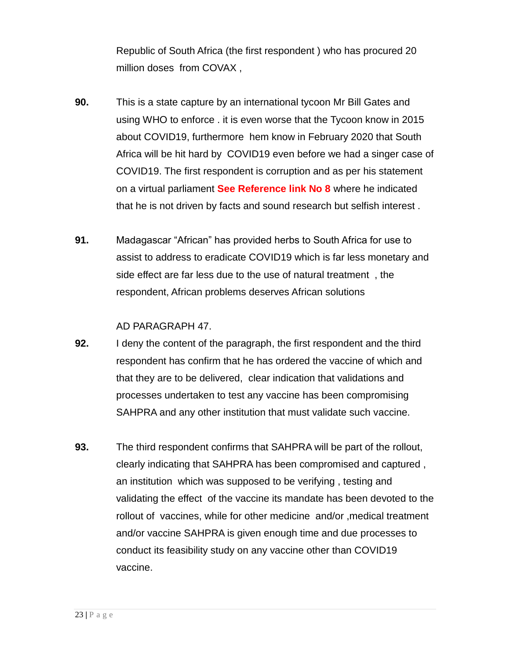Republic of South Africa (the first respondent ) who has procured 20 million doses from COVAX ,

- **90.** This is a state capture by an international tycoon Mr Bill Gates and using WHO to enforce . it is even worse that the Tycoon know in 2015 about COVID19, furthermore hem know in February 2020 that South Africa will be hit hard by COVID19 even before we had a singer case of COVID19. The first respondent is corruption and as per his statement on a virtual parliament **See Reference link No 8** where he indicated that he is not driven by facts and sound research but selfish interest .
- **91.** Madagascar "African" has provided herbs to South Africa for use to assist to address to eradicate COVID19 which is far less monetary and side effect are far less due to the use of natural treatment , the respondent, African problems deserves African solutions

#### AD PARAGRAPH 47.

- **92.** I deny the content of the paragraph, the first respondent and the third respondent has confirm that he has ordered the vaccine of which and that they are to be delivered, clear indication that validations and processes undertaken to test any vaccine has been compromising SAHPRA and any other institution that must validate such vaccine.
- **93.** The third respondent confirms that SAHPRA will be part of the rollout, clearly indicating that SAHPRA has been compromised and captured , an institution which was supposed to be verifying , testing and validating the effect of the vaccine its mandate has been devoted to the rollout of vaccines, while for other medicine and/or ,medical treatment and/or vaccine SAHPRA is given enough time and due processes to conduct its feasibility study on any vaccine other than COVID19 vaccine.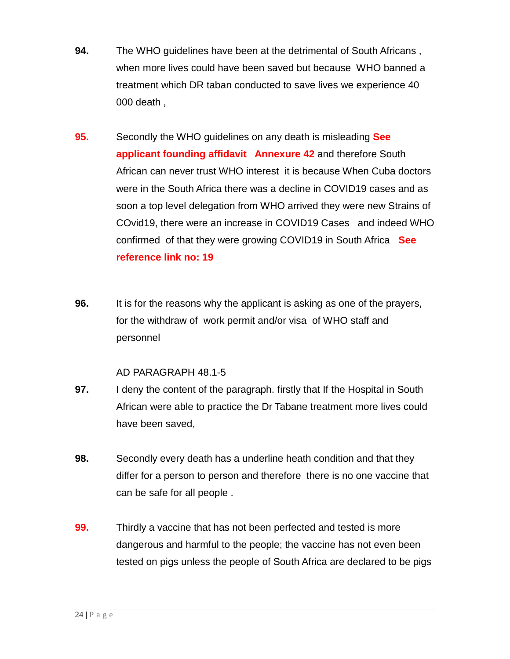- **94.** The WHO guidelines have been at the detrimental of South Africans , when more lives could have been saved but because WHO banned a treatment which DR taban conducted to save lives we experience 40 000 death ,
- **95.** Secondly the WHO guidelines on any death is misleading **See applicant founding affidavit Annexure 42** and therefore South African can never trust WHO interest it is because When Cuba doctors were in the South Africa there was a decline in COVID19 cases and as soon a top level delegation from WHO arrived they were new Strains of COvid19, there were an increase in COVID19 Cases and indeed WHO confirmed of that they were growing COVID19 in South Africa **See reference link no: 19**
- **96.** It is for the reasons why the applicant is asking as one of the prayers, for the withdraw of work permit and/or visa of WHO staff and personnel

### AD PARAGRAPH 48.1-5

- **97.** I deny the content of the paragraph. firstly that If the Hospital in South African were able to practice the Dr Tabane treatment more lives could have been saved,
- **98.** Secondly every death has a underline heath condition and that they differ for a person to person and therefore there is no one vaccine that can be safe for all people .
- **99.** Thirdly a vaccine that has not been perfected and tested is more dangerous and harmful to the people; the vaccine has not even been tested on pigs unless the people of South Africa are declared to be pigs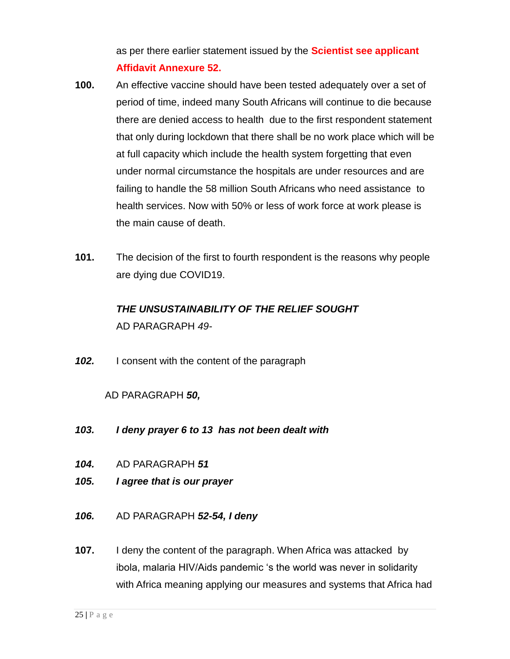as per there earlier statement issued by the **Scientist see applicant Affidavit Annexure 52.**

- **100.** An effective vaccine should have been tested adequately over a set of period of time, indeed many South Africans will continue to die because there are denied access to health due to the first respondent statement that only during lockdown that there shall be no work place which will be at full capacity which include the health system forgetting that even under normal circumstance the hospitals are under resources and are failing to handle the 58 million South Africans who need assistance to health services. Now with 50% or less of work force at work please is the main cause of death.
- **101.** The decision of the first to fourth respondent is the reasons why people are dying due COVID19.

# *THE UNSUSTAINABILITY OF THE RELIEF SOUGHT* AD PARAGRAPH *49-*

*102.* I consent with the content of the paragraph

# AD PARAGRAPH *50,*

- *103. I deny prayer 6 to 13 has not been dealt with*
- *104.* AD PARAGRAPH *51*
- *105. I agree that is our prayer*
- *106.* AD PARAGRAPH *52-54, I deny*
- **107.** I deny the content of the paragraph. When Africa was attacked by ibola, malaria HIV/Aids pandemic 's the world was never in solidarity with Africa meaning applying our measures and systems that Africa had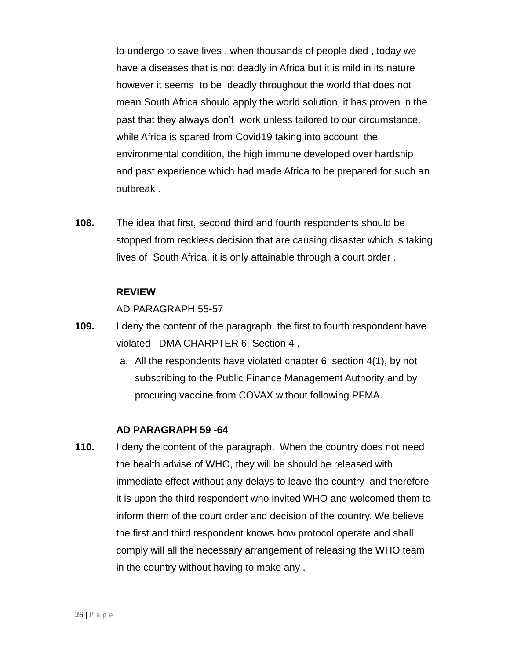to undergo to save lives , when thousands of people died , today we have a diseases that is not deadly in Africa but it is mild in its nature however it seems to be deadly throughout the world that does not mean South Africa should apply the world solution, it has proven in the past that they always don't work unless tailored to our circumstance, while Africa is spared from Covid19 taking into account the environmental condition, the high immune developed over hardship and past experience which had made Africa to be prepared for such an outbreak .

**108.** The idea that first, second third and fourth respondents should be stopped from reckless decision that are causing disaster which is taking lives of South Africa, it is only attainable through a court order .

#### **REVIEW**

AD PARAGRAPH 55-57

- **109.** I deny the content of the paragraph. the first to fourth respondent have violated DMA CHARPTER 6, Section 4 .
	- a. All the respondents have violated chapter 6, section 4(1), by not subscribing to the Public Finance Management Authority and by procuring vaccine from COVAX without following PFMA.

### **AD PARAGRAPH 59 -64**

**110.** I deny the content of the paragraph. When the country does not need the health advise of WHO, they will be should be released with immediate effect without any delays to leave the country and therefore it is upon the third respondent who invited WHO and welcomed them to inform them of the court order and decision of the country. We believe the first and third respondent knows how protocol operate and shall comply will all the necessary arrangement of releasing the WHO team in the country without having to make any .